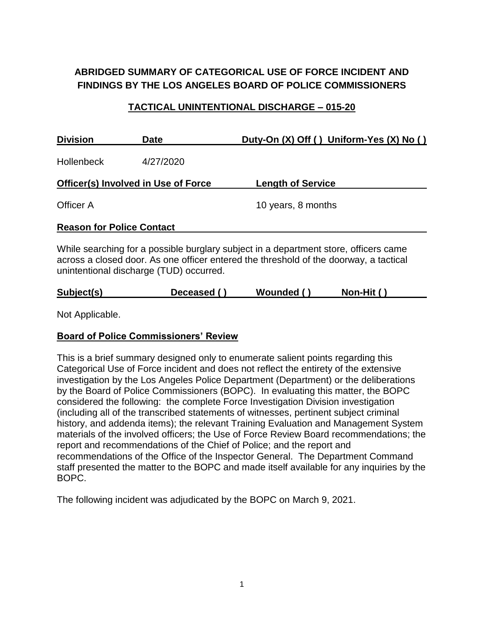# **ABRIDGED SUMMARY OF CATEGORICAL USE OF FORCE INCIDENT AND FINDINGS BY THE LOS ANGELES BOARD OF POLICE COMMISSIONERS**

### **TACTICAL UNINTENTIONAL DISCHARGE – 015-20**

| <b>Division</b><br><b>Date</b>             |           | Duty-On (X) Off () Uniform-Yes (X) No ()                                             |  |  |
|--------------------------------------------|-----------|--------------------------------------------------------------------------------------|--|--|
| <b>Hollenbeck</b>                          | 4/27/2020 |                                                                                      |  |  |
| <b>Officer(s) Involved in Use of Force</b> |           | <b>Length of Service</b>                                                             |  |  |
| Officer A                                  |           | 10 years, 8 months                                                                   |  |  |
| <b>Reason for Police Contact</b>           |           |                                                                                      |  |  |
|                                            |           | While searching for a possible burglary subject in a department store, officers came |  |  |

across a closed door. As one officer entered the threshold of the doorway, a tactical unintentional discharge (TUD) occurred.

| Subject(s) | Deceased ( ) | Wounded () | Non-Hit $()$ |
|------------|--------------|------------|--------------|
|            |              |            |              |

Not Applicable.

#### **Board of Police Commissioners' Review**

This is a brief summary designed only to enumerate salient points regarding this Categorical Use of Force incident and does not reflect the entirety of the extensive investigation by the Los Angeles Police Department (Department) or the deliberations by the Board of Police Commissioners (BOPC). In evaluating this matter, the BOPC considered the following: the complete Force Investigation Division investigation (including all of the transcribed statements of witnesses, pertinent subject criminal history, and addenda items); the relevant Training Evaluation and Management System materials of the involved officers; the Use of Force Review Board recommendations; the report and recommendations of the Chief of Police; and the report and recommendations of the Office of the Inspector General. The Department Command staff presented the matter to the BOPC and made itself available for any inquiries by the BOPC.

The following incident was adjudicated by the BOPC on March 9, 2021.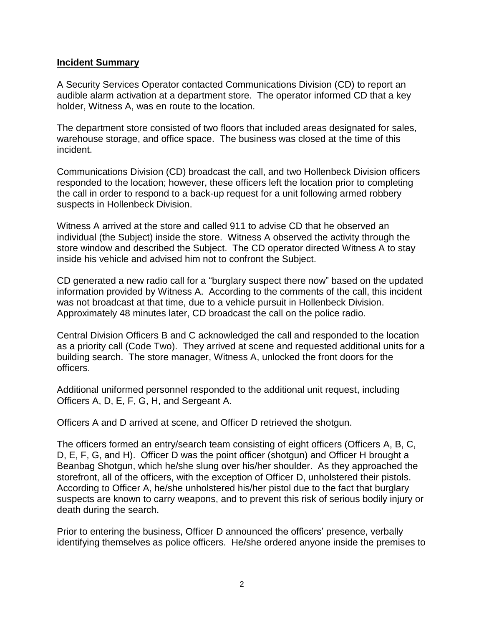#### **Incident Summary**

A Security Services Operator contacted Communications Division (CD) to report an audible alarm activation at a department store. The operator informed CD that a key holder, Witness A, was en route to the location.

The department store consisted of two floors that included areas designated for sales, warehouse storage, and office space. The business was closed at the time of this incident.

Communications Division (CD) broadcast the call, and two Hollenbeck Division officers responded to the location; however, these officers left the location prior to completing the call in order to respond to a back-up request for a unit following armed robbery suspects in Hollenbeck Division.

Witness A arrived at the store and called 911 to advise CD that he observed an individual (the Subject) inside the store. Witness A observed the activity through the store window and described the Subject. The CD operator directed Witness A to stay inside his vehicle and advised him not to confront the Subject.

CD generated a new radio call for a "burglary suspect there now" based on the updated information provided by Witness A. According to the comments of the call, this incident was not broadcast at that time, due to a vehicle pursuit in Hollenbeck Division. Approximately 48 minutes later, CD broadcast the call on the police radio.

Central Division Officers B and C acknowledged the call and responded to the location as a priority call (Code Two). They arrived at scene and requested additional units for a building search. The store manager, Witness A, unlocked the front doors for the officers.

Additional uniformed personnel responded to the additional unit request, including Officers A, D, E, F, G, H, and Sergeant A.

Officers A and D arrived at scene, and Officer D retrieved the shotgun.

The officers formed an entry/search team consisting of eight officers (Officers A, B, C, D, E, F, G, and H). Officer D was the point officer (shotgun) and Officer H brought a Beanbag Shotgun, which he/she slung over his/her shoulder. As they approached the storefront, all of the officers, with the exception of Officer D, unholstered their pistols. According to Officer A, he/she unholstered his/her pistol due to the fact that burglary suspects are known to carry weapons, and to prevent this risk of serious bodily injury or death during the search.

Prior to entering the business, Officer D announced the officers' presence, verbally identifying themselves as police officers. He/she ordered anyone inside the premises to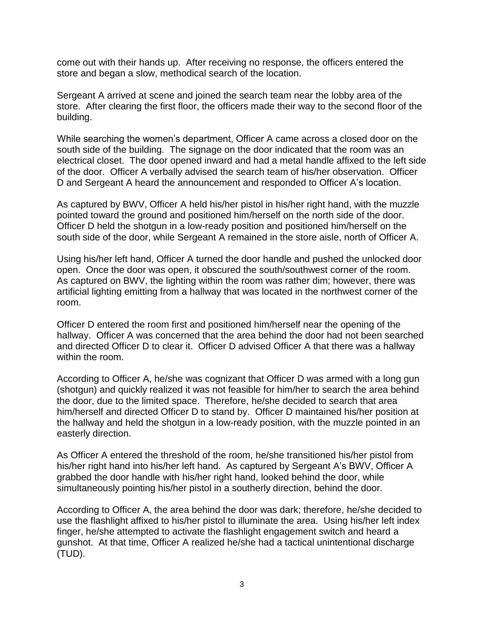come out with their hands up. After receiving no response, the officers entered the store and began a slow, methodical search of the location.

Sergeant A arrived at scene and joined the search team near the lobby area of the store. After clearing the first floor, the officers made their way to the second floor of the building.

While searching the women's department, Officer A came across a closed door on the south side of the building. The signage on the door indicated that the room was an electrical closet. The door opened inward and had a metal handle affixed to the left side of the door. Officer A verbally advised the search team of his/her observation. Officer D and Sergeant A heard the announcement and responded to Officer A's location.

As captured by BWV, Officer A held his/her pistol in his/her right hand, with the muzzle pointed toward the ground and positioned him/herself on the north side of the door. Officer D held the shotgun in a low-ready position and positioned him/herself on the south side of the door, while Sergeant A remained in the store aisle, north of Officer A.

Using his/her left hand, Officer A turned the door handle and pushed the unlocked door open. Once the door was open, it obscured the south/southwest corner of the room. As captured on BWV, the lighting within the room was rather dim; however, there was artificial lighting emitting from a hallway that was located in the northwest corner of the room.

Officer D entered the room first and positioned him/herself near the opening of the hallway. Officer A was concerned that the area behind the door had not been searched and directed Officer D to clear it. Officer D advised Officer A that there was a hallway within the room.

According to Officer A, he/she was cognizant that Officer D was armed with a long gun (shotgun) and quickly realized it was not feasible for him/her to search the area behind the door, due to the limited space. Therefore, he/she decided to search that area him/herself and directed Officer D to stand by. Officer D maintained his/her position at the hallway and held the shotgun in a low-ready position, with the muzzle pointed in an easterly direction.

As Officer A entered the threshold of the room, he/she transitioned his/her pistol from his/her right hand into his/her left hand. As captured by Sergeant A's BWV, Officer A grabbed the door handle with his/her right hand, looked behind the door, while simultaneously pointing his/her pistol in a southerly direction, behind the door.

According to Officer A, the area behind the door was dark; therefore, he/she decided to use the flashlight affixed to his/her pistol to illuminate the area. Using his/her left index finger, he/she attempted to activate the flashlight engagement switch and heard a gunshot. At that time, Officer A realized he/she had a tactical unintentional discharge (TUD).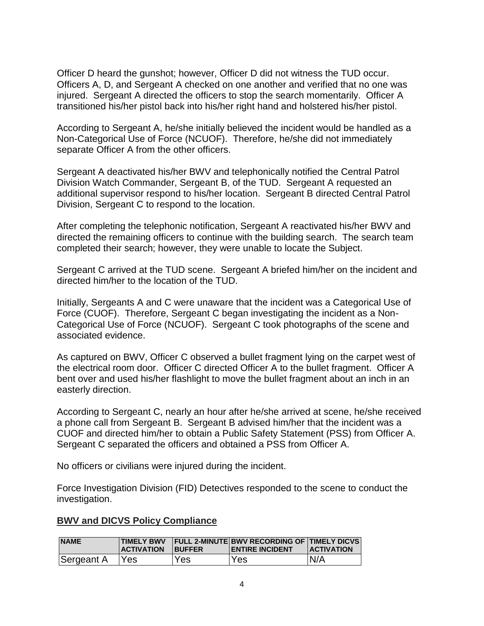Officer D heard the gunshot; however, Officer D did not witness the TUD occur. Officers A, D, and Sergeant A checked on one another and verified that no one was injured. Sergeant A directed the officers to stop the search momentarily. Officer A transitioned his/her pistol back into his/her right hand and holstered his/her pistol.

According to Sergeant A, he/she initially believed the incident would be handled as a Non-Categorical Use of Force (NCUOF). Therefore, he/she did not immediately separate Officer A from the other officers.

Sergeant A deactivated his/her BWV and telephonically notified the Central Patrol Division Watch Commander, Sergeant B, of the TUD. Sergeant A requested an additional supervisor respond to his/her location. Sergeant B directed Central Patrol Division, Sergeant C to respond to the location.

After completing the telephonic notification, Sergeant A reactivated his/her BWV and directed the remaining officers to continue with the building search. The search team completed their search; however, they were unable to locate the Subject.

Sergeant C arrived at the TUD scene. Sergeant A briefed him/her on the incident and directed him/her to the location of the TUD.

Initially, Sergeants A and C were unaware that the incident was a Categorical Use of Force (CUOF). Therefore, Sergeant C began investigating the incident as a Non-Categorical Use of Force (NCUOF). Sergeant C took photographs of the scene and associated evidence.

As captured on BWV, Officer C observed a bullet fragment lying on the carpet west of the electrical room door. Officer C directed Officer A to the bullet fragment. Officer A bent over and used his/her flashlight to move the bullet fragment about an inch in an easterly direction.

According to Sergeant C, nearly an hour after he/she arrived at scene, he/she received a phone call from Sergeant B. Sergeant B advised him/her that the incident was a CUOF and directed him/her to obtain a Public Safety Statement (PSS) from Officer A. Sergeant C separated the officers and obtained a PSS from Officer A.

No officers or civilians were injured during the incident.

Force Investigation Division (FID) Detectives responded to the scene to conduct the investigation.

#### **BWV and DICVS Policy Compliance**

| <b>NAME</b> | <b>TIMELY BWV</b><br><b>ACTIVATION</b> | <b>BUFFER</b> | <b>FULL 2-MINUTE BWV RECORDING OF TIMELY DICVS</b><br><b>ENTIRE INCIDENT</b> | <b>IACTIVATION</b> |
|-------------|----------------------------------------|---------------|------------------------------------------------------------------------------|--------------------|
| Sergeant A  | Yes                                    | Yes           | <b>Yes</b>                                                                   | N/A                |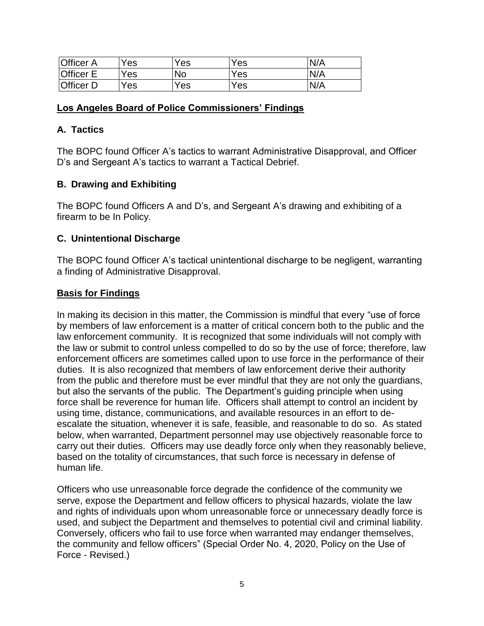| <b>Officer A</b> | $v_{es}$        | Yes       | Yes | N/A |
|------------------|-----------------|-----------|-----|-----|
| <b>Officer E</b> | $V_{\text{ES}}$ | <b>No</b> | Yes | N/A |
| <b>Officer D</b> | $V_{ES}$        | Yes       | Yes | N/A |

#### **Los Angeles Board of Police Commissioners' Findings**

### **A. Tactics**

The BOPC found Officer A's tactics to warrant Administrative Disapproval, and Officer D's and Sergeant A's tactics to warrant a Tactical Debrief.

## **B. Drawing and Exhibiting**

The BOPC found Officers A and D's, and Sergeant A's drawing and exhibiting of a firearm to be In Policy.

## **C. Unintentional Discharge**

The BOPC found Officer A's tactical unintentional discharge to be negligent, warranting a finding of Administrative Disapproval.

## **Basis for Findings**

In making its decision in this matter, the Commission is mindful that every "use of force by members of law enforcement is a matter of critical concern both to the public and the law enforcement community. It is recognized that some individuals will not comply with the law or submit to control unless compelled to do so by the use of force; therefore, law enforcement officers are sometimes called upon to use force in the performance of their duties. It is also recognized that members of law enforcement derive their authority from the public and therefore must be ever mindful that they are not only the guardians, but also the servants of the public. The Department's guiding principle when using force shall be reverence for human life. Officers shall attempt to control an incident by using time, distance, communications, and available resources in an effort to deescalate the situation, whenever it is safe, feasible, and reasonable to do so. As stated below, when warranted, Department personnel may use objectively reasonable force to carry out their duties. Officers may use deadly force only when they reasonably believe, based on the totality of circumstances, that such force is necessary in defense of human life.

Officers who use unreasonable force degrade the confidence of the community we serve, expose the Department and fellow officers to physical hazards, violate the law and rights of individuals upon whom unreasonable force or unnecessary deadly force is used, and subject the Department and themselves to potential civil and criminal liability. Conversely, officers who fail to use force when warranted may endanger themselves, the community and fellow officers" (Special Order No. 4, 2020, Policy on the Use of Force - Revised.)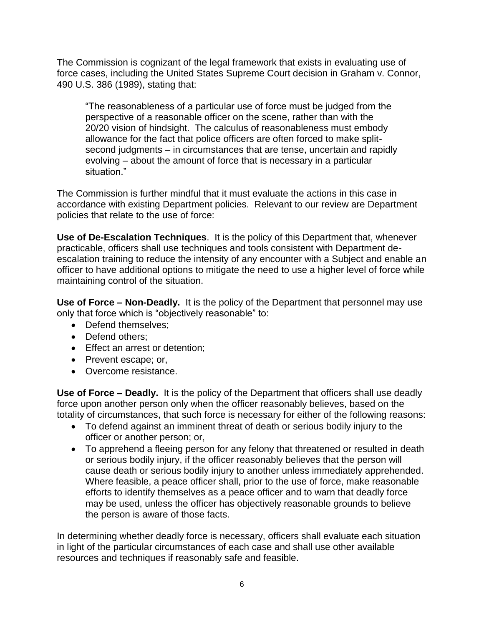The Commission is cognizant of the legal framework that exists in evaluating use of force cases, including the United States Supreme Court decision in Graham v. Connor, 490 U.S. 386 (1989), stating that:

"The reasonableness of a particular use of force must be judged from the perspective of a reasonable officer on the scene, rather than with the 20/20 vision of hindsight. The calculus of reasonableness must embody allowance for the fact that police officers are often forced to make splitsecond judgments – in circumstances that are tense, uncertain and rapidly evolving – about the amount of force that is necessary in a particular situation."

The Commission is further mindful that it must evaluate the actions in this case in accordance with existing Department policies. Relevant to our review are Department policies that relate to the use of force:

**Use of De-Escalation Techniques**. It is the policy of this Department that, whenever practicable, officers shall use techniques and tools consistent with Department deescalation training to reduce the intensity of any encounter with a Subject and enable an officer to have additional options to mitigate the need to use a higher level of force while maintaining control of the situation.

**Use of Force – Non-Deadly.** It is the policy of the Department that personnel may use only that force which is "objectively reasonable" to:

- Defend themselves;
- Defend others:
- Effect an arrest or detention;
- Prevent escape; or,
- Overcome resistance.

**Use of Force – Deadly.** It is the policy of the Department that officers shall use deadly force upon another person only when the officer reasonably believes, based on the totality of circumstances, that such force is necessary for either of the following reasons:

- To defend against an imminent threat of death or serious bodily injury to the officer or another person; or,
- To apprehend a fleeing person for any felony that threatened or resulted in death or serious bodily injury, if the officer reasonably believes that the person will cause death or serious bodily injury to another unless immediately apprehended. Where feasible, a peace officer shall, prior to the use of force, make reasonable efforts to identify themselves as a peace officer and to warn that deadly force may be used, unless the officer has objectively reasonable grounds to believe the person is aware of those facts.

In determining whether deadly force is necessary, officers shall evaluate each situation in light of the particular circumstances of each case and shall use other available resources and techniques if reasonably safe and feasible.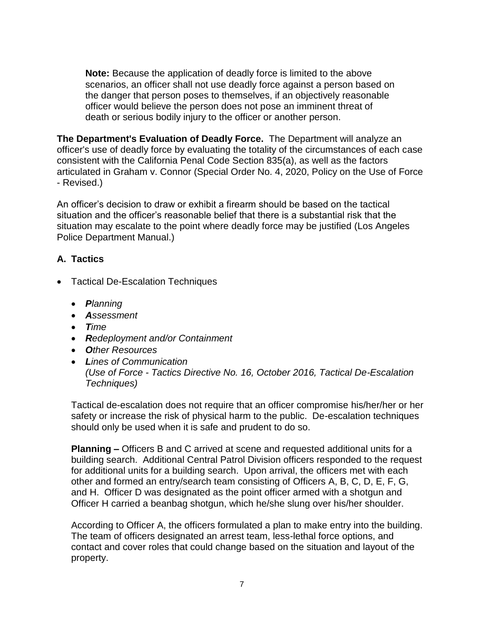**Note:** Because the application of deadly force is limited to the above scenarios, an officer shall not use deadly force against a person based on the danger that person poses to themselves, if an objectively reasonable officer would believe the person does not pose an imminent threat of death or serious bodily injury to the officer or another person.

**The Department's Evaluation of Deadly Force.** The Department will analyze an officer's use of deadly force by evaluating the totality of the circumstances of each case consistent with the California Penal Code Section 835(a), as well as the factors articulated in Graham v. Connor (Special Order No. 4, 2020, Policy on the Use of Force - Revised.)

An officer's decision to draw or exhibit a firearm should be based on the tactical situation and the officer's reasonable belief that there is a substantial risk that the situation may escalate to the point where deadly force may be justified (Los Angeles Police Department Manual.)

# **A. Tactics**

- Tactical De-Escalation Techniques
	- *Planning*
	- *Assessment*
	- *Time*
	- *Redeployment and/or Containment*
	- *Other Resources*
	- *Lines of Communication (Use of Force - Tactics Directive No. 16, October 2016, Tactical De-Escalation Techniques)*

Tactical de-escalation does not require that an officer compromise his/her/her or her safety or increase the risk of physical harm to the public. De-escalation techniques should only be used when it is safe and prudent to do so.

**Planning –** Officers B and C arrived at scene and requested additional units for a building search. Additional Central Patrol Division officers responded to the request for additional units for a building search. Upon arrival, the officers met with each other and formed an entry/search team consisting of Officers A, B, C, D, E, F, G, and H. Officer D was designated as the point officer armed with a shotgun and Officer H carried a beanbag shotgun, which he/she slung over his/her shoulder.

According to Officer A, the officers formulated a plan to make entry into the building. The team of officers designated an arrest team, less-lethal force options, and contact and cover roles that could change based on the situation and layout of the property.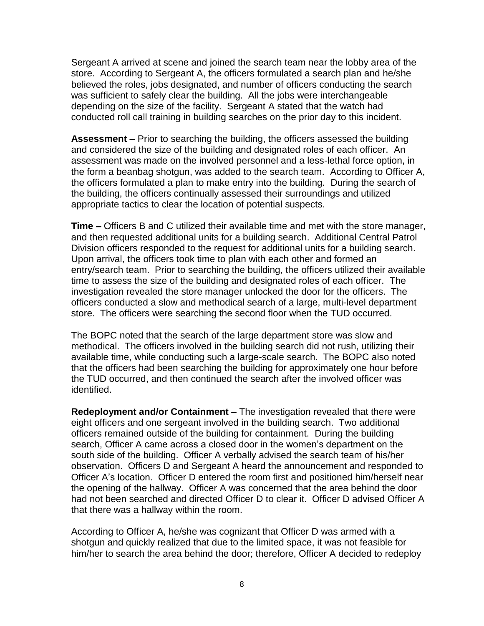Sergeant A arrived at scene and joined the search team near the lobby area of the store. According to Sergeant A, the officers formulated a search plan and he/she believed the roles, jobs designated, and number of officers conducting the search was sufficient to safely clear the building. All the jobs were interchangeable depending on the size of the facility. Sergeant A stated that the watch had conducted roll call training in building searches on the prior day to this incident.

**Assessment –** Prior to searching the building, the officers assessed the building and considered the size of the building and designated roles of each officer. An assessment was made on the involved personnel and a less-lethal force option, in the form a beanbag shotgun, was added to the search team. According to Officer A, the officers formulated a plan to make entry into the building.During the search of the building, the officers continually assessed their surroundings and utilized appropriate tactics to clear the location of potential suspects.

**Time –** Officers B and C utilized their available time and met with the store manager, and then requested additional units for a building search. Additional Central Patrol Division officers responded to the request for additional units for a building search. Upon arrival, the officers took time to plan with each other and formed an entry/search team. Prior to searching the building, the officers utilized their available time to assess the size of the building and designated roles of each officer. The investigation revealed the store manager unlocked the door for the officers. The officers conducted a slow and methodical search of a large, multi-level department store. The officers were searching the second floor when the TUD occurred.

The BOPC noted that the search of the large department store was slow and methodical. The officers involved in the building search did not rush, utilizing their available time, while conducting such a large-scale search. The BOPC also noted that the officers had been searching the building for approximately one hour before the TUD occurred, and then continued the search after the involved officer was identified.

**Redeployment and/or Containment –** The investigation revealed that there were eight officers and one sergeant involved in the building search. Two additional officers remained outside of the building for containment.During the building search, Officer A came across a closed door in the women's department on the south side of the building. Officer A verbally advised the search team of his/her observation. Officers D and Sergeant A heard the announcement and responded to Officer A's location.Officer D entered the room first and positioned him/herself near the opening of the hallway. Officer A was concerned that the area behind the door had not been searched and directed Officer D to clear it. Officer D advised Officer A that there was a hallway within the room.

According to Officer A, he/she was cognizant that Officer D was armed with a shotgun and quickly realized that due to the limited space, it was not feasible for him/her to search the area behind the door; therefore, Officer A decided to redeploy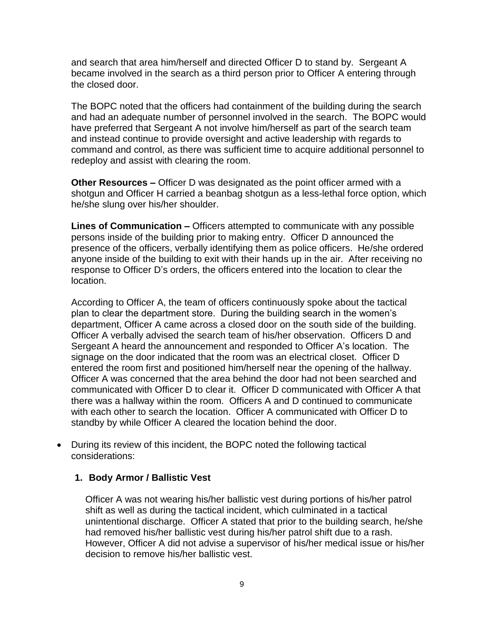and search that area him/herself and directed Officer D to stand by. Sergeant A became involved in the search as a third person prior to Officer A entering through the closed door.

The BOPC noted that the officers had containment of the building during the search and had an adequate number of personnel involved in the search.The BOPC would have preferred that Sergeant A not involve him/herself as part of the search team and instead continue to provide oversight and active leadership with regards to command and control, as there was sufficient time to acquire additional personnel to redeploy and assist with clearing the room.

**Other Resources –** Officer D was designated as the point officer armed with a shotgun and Officer H carried a beanbag shotgun as a less-lethal force option, which he/she slung over his/her shoulder.

**Lines of Communication –** Officers attempted to communicate with any possible persons inside of the building prior to making entry. Officer D announced the presence of the officers, verbally identifying them as police officers. He/she ordered anyone inside of the building to exit with their hands up in the air. After receiving no response to Officer D's orders, the officers entered into the location to clear the location.

According to Officer A, the team of officers continuously spoke about the tactical plan to clear the department store. During the building search in the women's department, Officer A came across a closed door on the south side of the building. Officer A verbally advised the search team of his/her observation. Officers D and Sergeant A heard the announcement and responded to Officer A's location. The signage on the door indicated that the room was an electrical closet. Officer D entered the room first and positioned him/herself near the opening of the hallway. Officer A was concerned that the area behind the door had not been searched and communicated with Officer D to clear it. Officer D communicated with Officer A that there was a hallway within the room. Officers A and D continued to communicate with each other to search the location. Officer A communicated with Officer D to standby by while Officer A cleared the location behind the door.

• During its review of this incident, the BOPC noted the following tactical considerations:

# **1. Body Armor / Ballistic Vest**

Officer A was not wearing his/her ballistic vest during portions of his/her patrol shift as well as during the tactical incident, which culminated in a tactical unintentional discharge. Officer A stated that prior to the building search, he/she had removed his/her ballistic vest during his/her patrol shift due to a rash. However, Officer A did not advise a supervisor of his/her medical issue or his/her decision to remove his/her ballistic vest.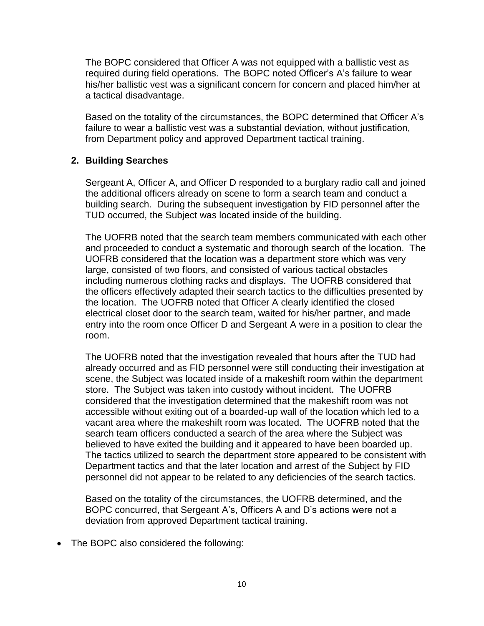The BOPC considered that Officer A was not equipped with a ballistic vest as required during field operations. The BOPC noted Officer's A's failure to wear his/her ballistic vest was a significant concern for concern and placed him/her at a tactical disadvantage.

Based on the totality of the circumstances, the BOPC determined that Officer A's failure to wear a ballistic vest was a substantial deviation, without justification, from Department policy and approved Department tactical training.

## **2. Building Searches**

Sergeant A, Officer A, and Officer D responded to a burglary radio call and joined the additional officers already on scene to form a search team and conduct a building search. During the subsequent investigation by FID personnel after the TUD occurred, the Subject was located inside of the building.

The UOFRB noted that the search team members communicated with each other and proceeded to conduct a systematic and thorough search of the location. The UOFRB considered that the location was a department store which was very large, consisted of two floors, and consisted of various tactical obstacles including numerous clothing racks and displays. The UOFRB considered that the officers effectively adapted their search tactics to the difficulties presented by the location. The UOFRB noted that Officer A clearly identified the closed electrical closet door to the search team, waited for his/her partner, and made entry into the room once Officer D and Sergeant A were in a position to clear the room.

The UOFRB noted that the investigation revealed that hours after the TUD had already occurred and as FID personnel were still conducting their investigation at scene, the Subject was located inside of a makeshift room within the department store. The Subject was taken into custody without incident. The UOFRB considered that the investigation determined that the makeshift room was not accessible without exiting out of a boarded-up wall of the location which led to a vacant area where the makeshift room was located. The UOFRB noted that the search team officers conducted a search of the area where the Subject was believed to have exited the building and it appeared to have been boarded up. The tactics utilized to search the department store appeared to be consistent with Department tactics and that the later location and arrest of the Subject by FID personnel did not appear to be related to any deficiencies of the search tactics.

Based on the totality of the circumstances, the UOFRB determined, and the BOPC concurred, that Sergeant A's, Officers A and D's actions were not a deviation from approved Department tactical training.

• The BOPC also considered the following: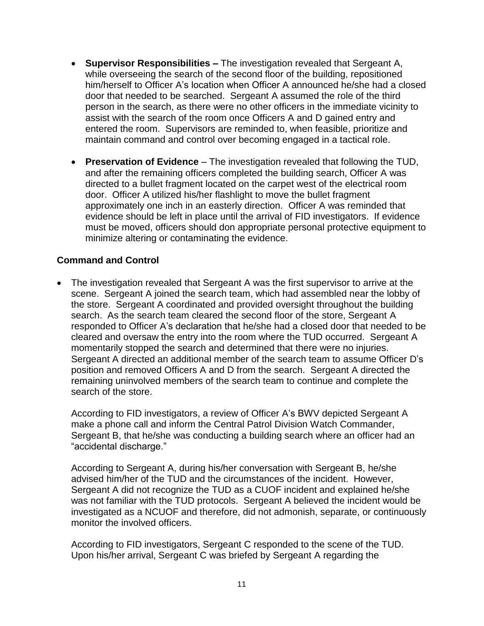- **Supervisor Responsibilities –** The investigation revealed that Sergeant A, while overseeing the search of the second floor of the building, repositioned him/herself to Officer A's location when Officer A announced he/she had a closed door that needed to be searched. Sergeant A assumed the role of the third person in the search, as there were no other officers in the immediate vicinity to assist with the search of the room once Officers A and D gained entry and entered the room. Supervisors are reminded to, when feasible, prioritize and maintain command and control over becoming engaged in a tactical role.
- **Preservation of Evidence** The investigation revealed that following the TUD, and after the remaining officers completed the building search, Officer A was directed to a bullet fragment located on the carpet west of the electrical room door. Officer A utilized his/her flashlight to move the bullet fragment approximately one inch in an easterly direction. Officer A was reminded that evidence should be left in place until the arrival of FID investigators. If evidence must be moved, officers should don appropriate personal protective equipment to minimize altering or contaminating the evidence.

## **Command and Control**

• The investigation revealed that Sergeant A was the first supervisor to arrive at the scene. Sergeant A joined the search team, which had assembled near the lobby of the store. Sergeant A coordinated and provided oversight throughout the building search. As the search team cleared the second floor of the store, Sergeant A responded to Officer A's declaration that he/she had a closed door that needed to be cleared and oversaw the entry into the room where the TUD occurred. Sergeant A momentarily stopped the search and determined that there were no injuries. Sergeant A directed an additional member of the search team to assume Officer D's position and removed Officers A and D from the search. Sergeant A directed the remaining uninvolved members of the search team to continue and complete the search of the store.

According to FID investigators, a review of Officer A's BWV depicted Sergeant A make a phone call and inform the Central Patrol Division Watch Commander, Sergeant B, that he/she was conducting a building search where an officer had an "accidental discharge."

According to Sergeant A, during his/her conversation with Sergeant B, he/she advised him/her of the TUD and the circumstances of the incident. However, Sergeant A did not recognize the TUD as a CUOF incident and explained he/she was not familiar with the TUD protocols. Sergeant A believed the incident would be investigated as a NCUOF and therefore, did not admonish, separate, or continuously monitor the involved officers.

According to FID investigators, Sergeant C responded to the scene of the TUD. Upon his/her arrival, Sergeant C was briefed by Sergeant A regarding the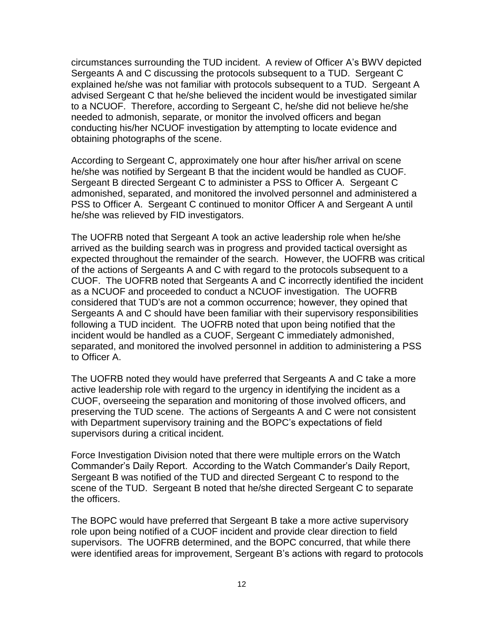circumstances surrounding the TUD incident. A review of Officer A's BWV depicted Sergeants A and C discussing the protocols subsequent to a TUD. Sergeant C explained he/she was not familiar with protocols subsequent to a TUD. Sergeant A advised Sergeant C that he/she believed the incident would be investigated similar to a NCUOF. Therefore, according to Sergeant C, he/she did not believe he/she needed to admonish, separate, or monitor the involved officers and began conducting his/her NCUOF investigation by attempting to locate evidence and obtaining photographs of the scene.

According to Sergeant C, approximately one hour after his/her arrival on scene he/she was notified by Sergeant B that the incident would be handled as CUOF. Sergeant B directed Sergeant C to administer a PSS to Officer A. Sergeant C admonished, separated, and monitored the involved personnel and administered a PSS to Officer A. Sergeant C continued to monitor Officer A and Sergeant A until he/she was relieved by FID investigators.

The UOFRB noted that Sergeant A took an active leadership role when he/she arrived as the building search was in progress and provided tactical oversight as expected throughout the remainder of the search. However, the UOFRB was critical of the actions of Sergeants A and C with regard to the protocols subsequent to a CUOF. The UOFRB noted that Sergeants A and C incorrectly identified the incident as a NCUOF and proceeded to conduct a NCUOF investigation. The UOFRB considered that TUD's are not a common occurrence; however, they opined that Sergeants A and C should have been familiar with their supervisory responsibilities following a TUD incident. The UOFRB noted that upon being notified that the incident would be handled as a CUOF, Sergeant C immediately admonished, separated, and monitored the involved personnel in addition to administering a PSS to Officer A.

The UOFRB noted they would have preferred that Sergeants A and C take a more active leadership role with regard to the urgency in identifying the incident as a CUOF, overseeing the separation and monitoring of those involved officers, and preserving the TUD scene. The actions of Sergeants A and C were not consistent with Department supervisory training and the BOPC's expectations of field supervisors during a critical incident.

Force Investigation Division noted that there were multiple errors on the Watch Commander's Daily Report. According to the Watch Commander's Daily Report, Sergeant B was notified of the TUD and directed Sergeant C to respond to the scene of the TUD. Sergeant B noted that he/she directed Sergeant C to separate the officers.

The BOPC would have preferred that Sergeant B take a more active supervisory role upon being notified of a CUOF incident and provide clear direction to field supervisors. The UOFRB determined, and the BOPC concurred, that while there were identified areas for improvement, Sergeant B's actions with regard to protocols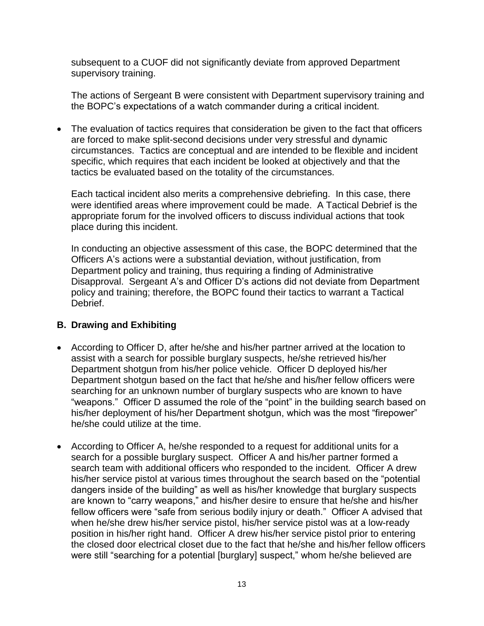subsequent to a CUOF did not significantly deviate from approved Department supervisory training.

The actions of Sergeant B were consistent with Department supervisory training and the BOPC's expectations of a watch commander during a critical incident.

• The evaluation of tactics requires that consideration be given to the fact that officers are forced to make split-second decisions under very stressful and dynamic circumstances. Tactics are conceptual and are intended to be flexible and incident specific, which requires that each incident be looked at objectively and that the tactics be evaluated based on the totality of the circumstances.

Each tactical incident also merits a comprehensive debriefing. In this case, there were identified areas where improvement could be made. A Tactical Debrief is the appropriate forum for the involved officers to discuss individual actions that took place during this incident.

In conducting an objective assessment of this case, the BOPC determined that the Officers A's actions were a substantial deviation, without justification, from Department policy and training, thus requiring a finding of Administrative Disapproval. Sergeant A's and Officer D's actions did not deviate from Department policy and training; therefore, the BOPC found their tactics to warrant a Tactical Debrief.

# **B. Drawing and Exhibiting**

- According to Officer D, after he/she and his/her partner arrived at the location to assist with a search for possible burglary suspects, he/she retrieved his/her Department shotgun from his/her police vehicle. Officer D deployed his/her Department shotgun based on the fact that he/she and his/her fellow officers were searching for an unknown number of burglary suspects who are known to have "weapons." Officer D assumed the role of the "point" in the building search based on his/her deployment of his/her Department shotgun, which was the most "firepower" he/she could utilize at the time.
- According to Officer A, he/she responded to a request for additional units for a search for a possible burglary suspect. Officer A and his/her partner formed a search team with additional officers who responded to the incident. Officer A drew his/her service pistol at various times throughout the search based on the "potential dangers inside of the building" as well as his/her knowledge that burglary suspects are known to "carry weapons," and his/her desire to ensure that he/she and his/her fellow officers were "safe from serious bodily injury or death." Officer A advised that when he/she drew his/her service pistol, his/her service pistol was at a low-ready position in his/her right hand. Officer A drew his/her service pistol prior to entering the closed door electrical closet due to the fact that he/she and his/her fellow officers were still "searching for a potential [burglary] suspect," whom he/she believed are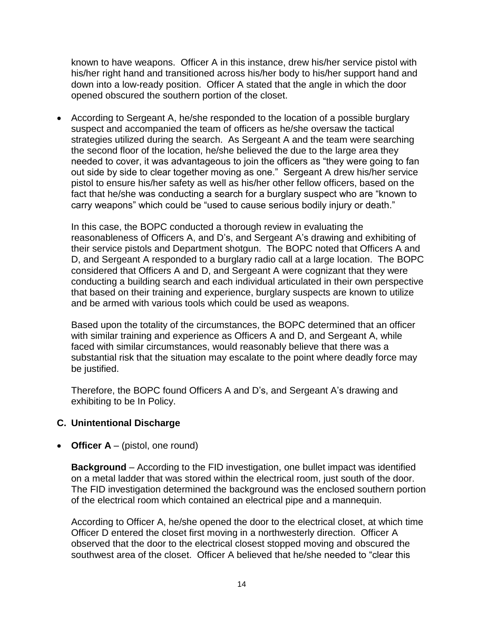known to have weapons. Officer A in this instance, drew his/her service pistol with his/her right hand and transitioned across his/her body to his/her support hand and down into a low-ready position. Officer A stated that the angle in which the door opened obscured the southern portion of the closet.

• According to Sergeant A, he/she responded to the location of a possible burglary suspect and accompanied the team of officers as he/she oversaw the tactical strategies utilized during the search. As Sergeant A and the team were searching the second floor of the location, he/she believed the due to the large area they needed to cover, it was advantageous to join the officers as "they were going to fan out side by side to clear together moving as one." Sergeant A drew his/her service pistol to ensure his/her safety as well as his/her other fellow officers, based on the fact that he/she was conducting a search for a burglary suspect who are "known to carry weapons" which could be "used to cause serious bodily injury or death."

In this case, the BOPC conducted a thorough review in evaluating the reasonableness of Officers A, and D's, and Sergeant A's drawing and exhibiting of their service pistols and Department shotgun. The BOPC noted that Officers A and D, and Sergeant A responded to a burglary radio call at a large location. The BOPC considered that Officers A and D, and Sergeant A were cognizant that they were conducting a building search and each individual articulated in their own perspective that based on their training and experience, burglary suspects are known to utilize and be armed with various tools which could be used as weapons.

Based upon the totality of the circumstances, the BOPC determined that an officer with similar training and experience as Officers A and D, and Sergeant A, while faced with similar circumstances, would reasonably believe that there was a substantial risk that the situation may escalate to the point where deadly force may be justified.

Therefore, the BOPC found Officers A and D's, and Sergeant A's drawing and exhibiting to be In Policy.

#### **C. Unintentional Discharge**

• **Officer A** – (pistol, one round)

**Background** – According to the FID investigation, one bullet impact was identified on a metal ladder that was stored within the electrical room, just south of the door. The FID investigation determined the background was the enclosed southern portion of the electrical room which contained an electrical pipe and a mannequin.

According to Officer A, he/she opened the door to the electrical closet, at which time Officer D entered the closet first moving in a northwesterly direction. Officer A observed that the door to the electrical closest stopped moving and obscured the southwest area of the closet. Officer A believed that he/she needed to "clear this